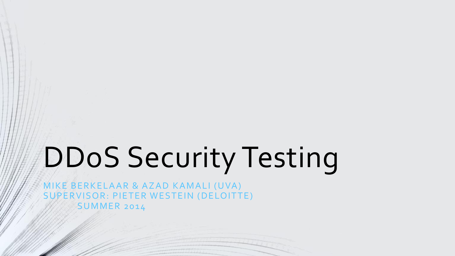# DDoS Security Testing

MIKE BERKELAAR & AZAD KAMALI (UVA) SUPERVISOR: PIETER WESTEIN (DELOITTE) **SUMMER 2014**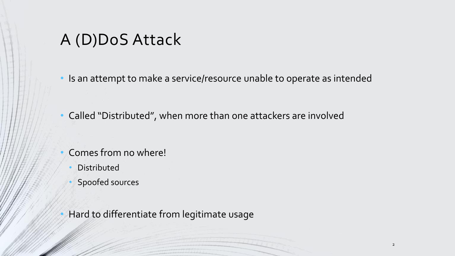A (D)DoS Attack

• Is an attempt to make a service/resource unable to operate as intended

• Called "Distributed", when more than one attackers are involved

- Comes from no where!
- **Distributed**
- Spoofed sources
- Hard to differentiate from legitimate usage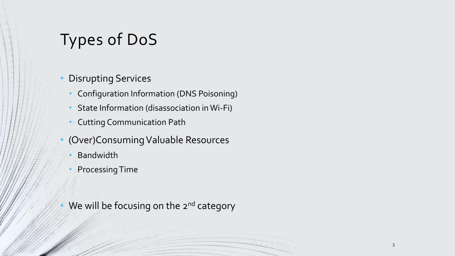# Types of DoS

- Disrupting Services
	- Configuration Information (DNS Poisoning)
	- State Information (disassociation in Wi-Fi)
	- Cutting Communication Path
- (Over)Consuming Valuable Resources
	- **Bandwidth**
	- Processing Time
- We will be focusing on the 2<sup>nd</sup> category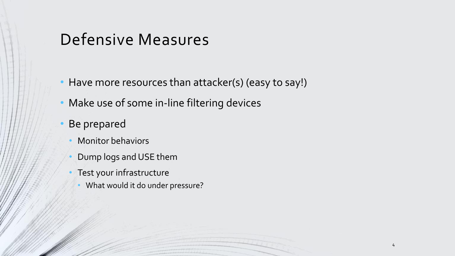### Defensive Measures

- Have more resources than attacker(s) (easy to say!)
- Make use of some in-line filtering devices
- Be prepared
	- Monitor behaviors
	- Dump logs and USE them
	- Test your infrastructure
		- What would it do under pressure?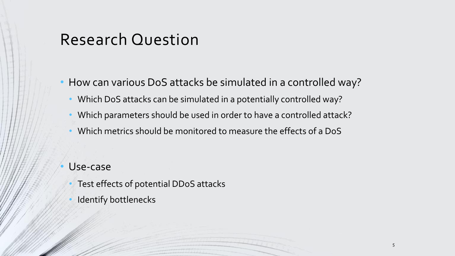### Research Question

• How can various DoS attacks be simulated in a controlled way?

- Which DoS attacks can be simulated in a potentially controlled way?
- Which parameters should be used in order to have a controlled attack?
- Which metrics should be monitored to measure the effects of a DoS

Use-case

- Test effects of potential DDoS attacks
- Identify bottlenecks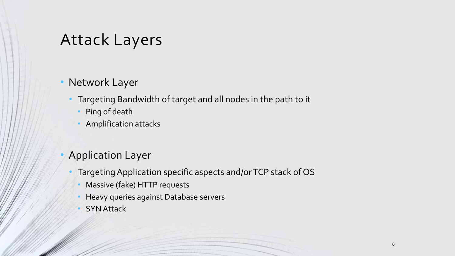### Attack Layers

- Network Layer
	- Targeting Bandwidth of target and all nodes in the path to it
		- Ping of death
		- Amplification attacks
- Application Layer
	- Targeting Application specific aspects and/or TCP stack of OS
		- Massive (fake) HTTP requests
		- Heavy queries against Database servers
		- **SYN Attack**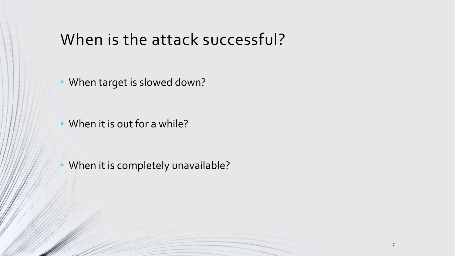### When is the attack successful?

• When target is slowed down?

• When it is out for a while?

When it is completely unavailable?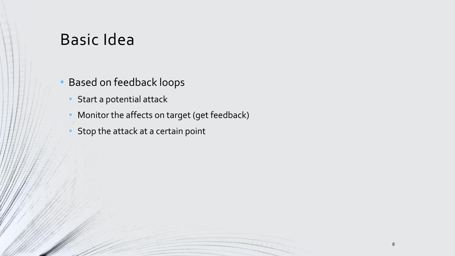### Basic Idea

- Based on feedback loops
	- Start a potential attack
	- Monitor the affects on target (get feedback)
	- Stop the attack at a certain point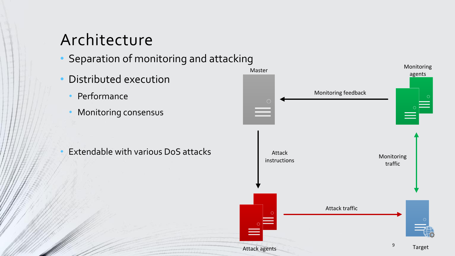# Architecture

- Separation of monitoring and attacking
- Distributed execution
	- Performance
	- Monitoring consensus

• Extendable with various DoS attacks

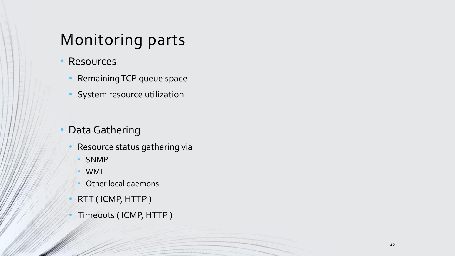# Monitoring parts

- Resources
	- Remaining TCP queue space
	- System resource utilization

#### Data Gathering

- Resource status gathering via
	- SNMP
	- WMI
	- Other local daemons
- RTT ( ICMP, HTTP )
- Timeouts ( ICMP, HTTP )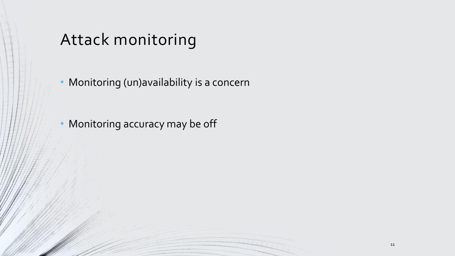# Attack monitoring

Monitoring (un)availability is a concern

Monitoring accuracy may be off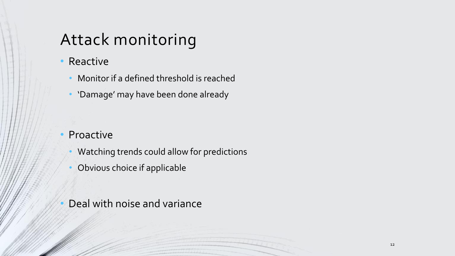# Attack monitoring

#### • Reactive

- Monitor if a defined threshold is reached
- 'Damage' may have been done already

#### **Proactive**

- Watching trends could allow for predictions
- Obvious choice if applicable
- Deal with noise and variance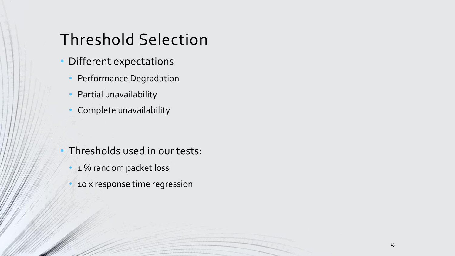# Threshold Selection

- Different expectations
	- Performance Degradation
	- Partial unavailability
	- Complete unavailability

- Thresholds used in our tests:
	- 1% random packet loss
	- 10 x response time regression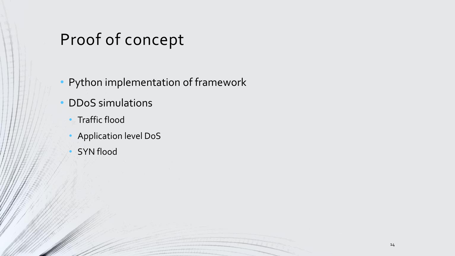# Proof of concept

- Python implementation of framework
- DDoS simulations
	- Traffic flood
	- Application level DoS
	- **SYN flood**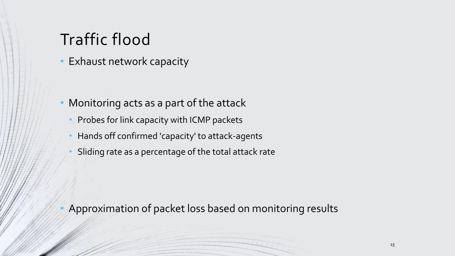# Traffic flood

• Exhaust network capacity

- Monitoring acts as a part of the attack
	- Probes for link capacity with ICMP packets
	- Hands off confirmed 'capacity' to attack-agents
	- Sliding rate as a percentage of the total attack rate

• Approximation of packet loss based on monitoring results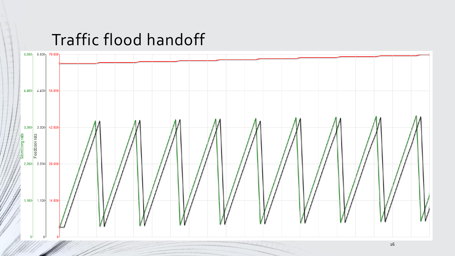### Traffic flood handoff

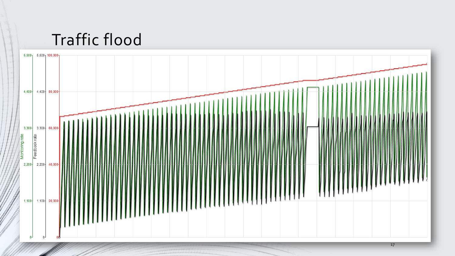# Traffic flood

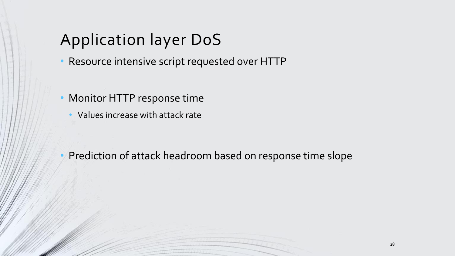# Application layer DoS

- Resource intensive script requested over HTTP
- Monitor HTTP response time
	- Values increase with attack rate

• Prediction of attack headroom based on response time slope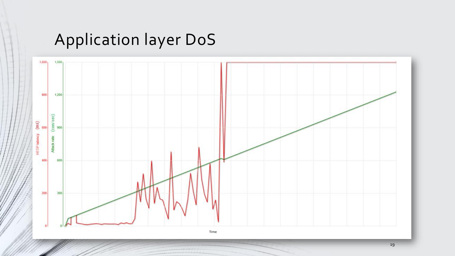# Application layer DoS

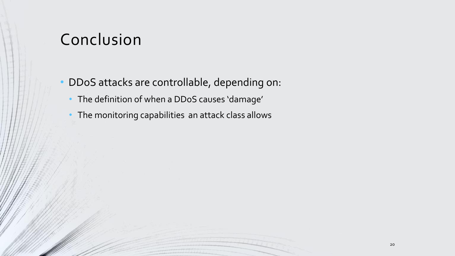### Conclusion

- DDoS attacks are controllable, depending on:
	- The definition of when a DDoS causes 'damage'
	- The monitoring capabilities an attack class allows